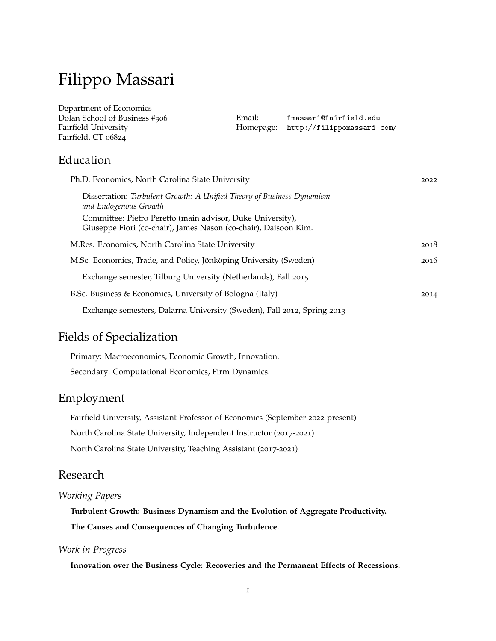# Filippo Massari

Department of Economics Dolan School of Business #306 Fairfield University Fairfield, CT 06824

Email: [fmassari@fairfield.edu](mailto:fmassari@fairfield.edu) Homepage: <http://filippomassari.com/>

### Education

| Ph.D. Economics, North Carolina State University                                                                              | 2022 |
|-------------------------------------------------------------------------------------------------------------------------------|------|
| Dissertation: Turbulent Growth: A Unified Theory of Business Dynamism<br>and Endogenous Growth                                |      |
| Committee: Pietro Peretto (main advisor, Duke University),<br>Giuseppe Fiori (co-chair), James Nason (co-chair), Daisoon Kim. |      |
| M.Res. Economics, North Carolina State University                                                                             | 2018 |
| M.Sc. Economics, Trade, and Policy, Jönköping University (Sweden)                                                             | 2016 |
| Exchange semester, Tilburg University (Netherlands), Fall 2015                                                                |      |
| B.Sc. Business & Economics, University of Bologna (Italy)                                                                     | 2014 |
| Exchange semesters, Dalarna University (Sweden), Fall 2012, Spring 2013                                                       |      |

# Fields of Specialization

Primary: Macroeconomics, Economic Growth, Innovation. Secondary: Computational Economics, Firm Dynamics.

# Employment

Fairfield University, Assistant Professor of Economics (September 2022-present) North Carolina State University, Independent Instructor (2017-2021) North Carolina State University, Teaching Assistant (2017-2021)

### Research

#### *Working Papers*

**Turbulent Growth: Business Dynamism and the Evolution of Aggregate Productivity. The Causes and Consequences of Changing Turbulence.**

#### *Work in Progress*

**Innovation over the Business Cycle: Recoveries and the Permanent Effects of Recessions.**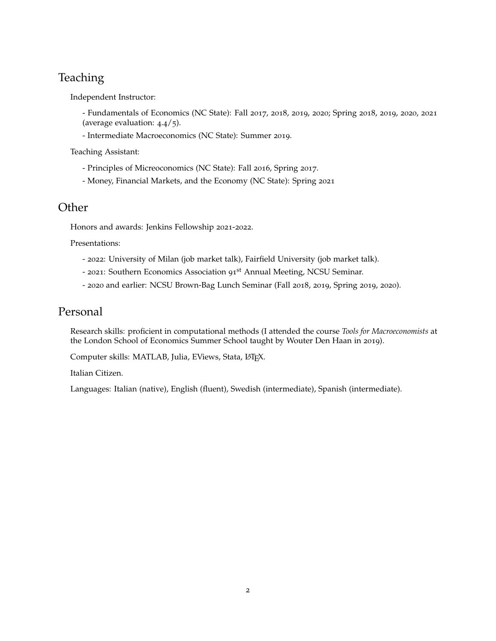# **Teaching**

Independent Instructor:

- Fundamentals of Economics (NC State): Fall 2017, 2018, 2019, 2020; Spring 2018, 2019, 2020, 2021 (average evaluation: 4.4/5).

- Intermediate Macroeconomics (NC State): Summer 2019.

Teaching Assistant:

- Principles of Micreoconomics (NC State): Fall 2016, Spring 2017.
- Money, Financial Markets, and the Economy (NC State): Spring 2021

# **Other**

Honors and awards: Jenkins Fellowship 2021-2022.

Presentations:

- 2022: University of Milan (job market talk), Fairfield University (job market talk).
- 2021: Southern Economics Association 91st Annual Meeting, NCSU Seminar.
- 2020 and earlier: NCSU Brown-Bag Lunch Seminar (Fall 2018, 2019, Spring 2019, 2020).

# Personal

Research skills: proficient in computational methods (I attended the course *Tools for Macroeconomists* at the London School of Economics Summer School taught by Wouter Den Haan in 2019).

Computer skills: MATLAB, Julia, EViews, Stata, LATEX.

Italian Citizen.

Languages: Italian (native), English (fluent), Swedish (intermediate), Spanish (intermediate).